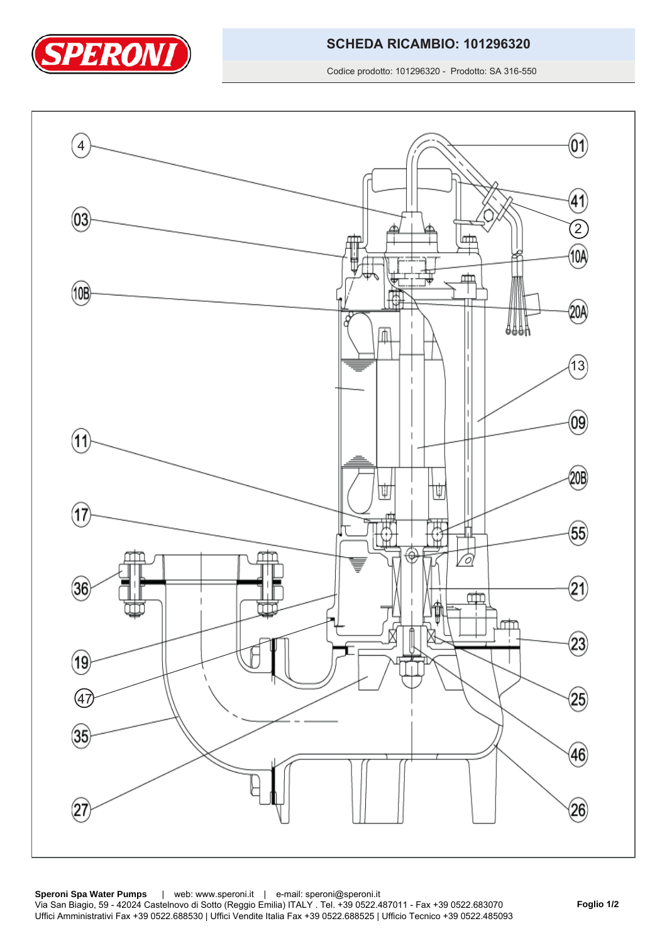

Codice prodotto: 101296320 - Prodotto: SA 316-550

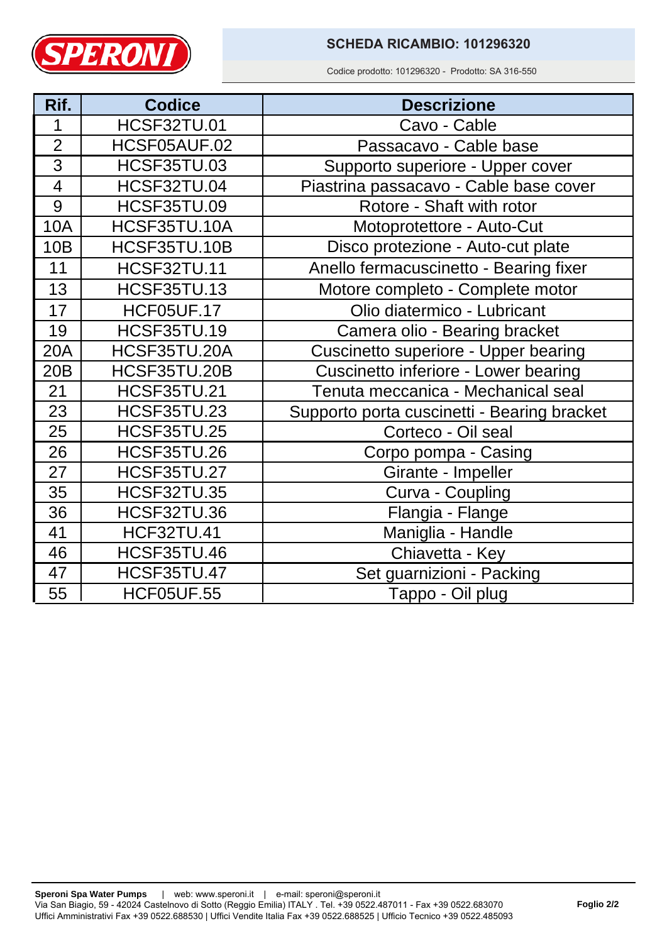

## **SCHEDA RICAMBIO: 101296300 101296310101296320**

Codice prodotto: 101296320 - Prodotto: SA 316-550

| Rif.           | <b>Codice</b>      | <b>Descrizione</b>                          |
|----------------|--------------------|---------------------------------------------|
| 1              | <b>HCSF32TU.01</b> | Cavo - Cable                                |
| $\overline{2}$ | HCSF05AUF.02       | Passacavo - Cable base                      |
| $\overline{3}$ | <b>HCSF35TU.03</b> | Supporto superiore - Upper cover            |
| $\overline{4}$ | <b>HCSF32TU.04</b> | Piastrina passacavo - Cable base cover      |
| 9              | <b>HCSF35TU.09</b> | Rotore - Shaft with rotor                   |
| <b>10A</b>     | HCSF35TU.10A       | Motoprotettore - Auto-Cut                   |
| 10B            | HCSF35TU.10B       | Disco protezione - Auto-cut plate           |
| 11             | <b>HCSF32TU.11</b> | Anello fermacuscinetto - Bearing fixer      |
| 13             | <b>HCSF35TU.13</b> | Motore completo - Complete motor            |
| 17             | <b>HCF05UF.17</b>  | Olio diatermico - Lubricant                 |
| 19             | <b>HCSF35TU.19</b> | Camera olio - Bearing bracket               |
| <b>20A</b>     | HCSF35TU.20A       | Cuscinetto superiore - Upper bearing        |
| 20B            | HCSF35TU.20B       | Cuscinetto inferiore - Lower bearing        |
| 21             | <b>HCSF35TU.21</b> | Tenuta meccanica - Mechanical seal          |
| 23             | <b>HCSF35TU.23</b> | Supporto porta cuscinetti - Bearing bracket |
| 25             | <b>HCSF35TU.25</b> | Corteco - Oil seal                          |
| 26             | <b>HCSF35TU.26</b> | Corpo pompa - Casing                        |
| 27             | <b>HCSF35TU.27</b> | Girante - Impeller                          |
| 35             | <b>HCSF32TU.35</b> | Curva - Coupling                            |
| 36             | HCSF32TU.36        | Flangia - Flange                            |
| 41             | <b>HCF32TU.41</b>  | Maniglia - Handle                           |
| 46             | <b>HCSF35TU.46</b> | Chiavetta - Key                             |
| 47             | <b>HCSF35TU.47</b> | Set guarnizioni - Packing                   |
| 55             | <b>HCF05UF.55</b>  | Tappo - Oil plug                            |